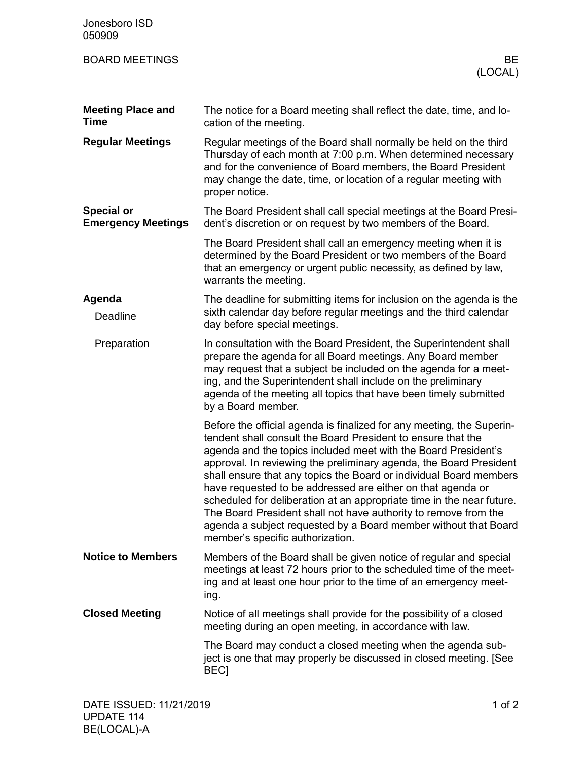| Jonesboro ISD<br>050909                        |                                                                                                                                                                                                                                                                                                                                                                                                                                                                                                                                                                                                                                                                       |
|------------------------------------------------|-----------------------------------------------------------------------------------------------------------------------------------------------------------------------------------------------------------------------------------------------------------------------------------------------------------------------------------------------------------------------------------------------------------------------------------------------------------------------------------------------------------------------------------------------------------------------------------------------------------------------------------------------------------------------|
| <b>BOARD MEETINGS</b>                          | BE<br>(LOCAL)                                                                                                                                                                                                                                                                                                                                                                                                                                                                                                                                                                                                                                                         |
| <b>Meeting Place and</b><br><b>Time</b>        | The notice for a Board meeting shall reflect the date, time, and lo-<br>cation of the meeting.                                                                                                                                                                                                                                                                                                                                                                                                                                                                                                                                                                        |
| <b>Regular Meetings</b>                        | Regular meetings of the Board shall normally be held on the third<br>Thursday of each month at 7:00 p.m. When determined necessary<br>and for the convenience of Board members, the Board President<br>may change the date, time, or location of a regular meeting with<br>proper notice.                                                                                                                                                                                                                                                                                                                                                                             |
| <b>Special or</b><br><b>Emergency Meetings</b> | The Board President shall call special meetings at the Board Presi-<br>dent's discretion or on request by two members of the Board.                                                                                                                                                                                                                                                                                                                                                                                                                                                                                                                                   |
|                                                | The Board President shall call an emergency meeting when it is<br>determined by the Board President or two members of the Board<br>that an emergency or urgent public necessity, as defined by law,<br>warrants the meeting.                                                                                                                                                                                                                                                                                                                                                                                                                                          |
| Agenda<br>Deadline                             | The deadline for submitting items for inclusion on the agenda is the<br>sixth calendar day before regular meetings and the third calendar<br>day before special meetings.                                                                                                                                                                                                                                                                                                                                                                                                                                                                                             |
| Preparation                                    | In consultation with the Board President, the Superintendent shall<br>prepare the agenda for all Board meetings. Any Board member<br>may request that a subject be included on the agenda for a meet-<br>ing, and the Superintendent shall include on the preliminary<br>agenda of the meeting all topics that have been timely submitted<br>by a Board member.                                                                                                                                                                                                                                                                                                       |
|                                                | Before the official agenda is finalized for any meeting, the Superin-<br>tendent shall consult the Board President to ensure that the<br>agenda and the topics included meet with the Board President's<br>approval. In reviewing the preliminary agenda, the Board President<br>shall ensure that any topics the Board or individual Board members<br>have requested to be addressed are either on that agenda or<br>scheduled for deliberation at an appropriate time in the near future.<br>The Board President shall not have authority to remove from the<br>agenda a subject requested by a Board member without that Board<br>member's specific authorization. |
| <b>Notice to Members</b>                       | Members of the Board shall be given notice of regular and special<br>meetings at least 72 hours prior to the scheduled time of the meet-<br>ing and at least one hour prior to the time of an emergency meet-<br>ing.                                                                                                                                                                                                                                                                                                                                                                                                                                                 |
| <b>Closed Meeting</b>                          | Notice of all meetings shall provide for the possibility of a closed<br>meeting during an open meeting, in accordance with law.                                                                                                                                                                                                                                                                                                                                                                                                                                                                                                                                       |
|                                                | The Board may conduct a closed meeting when the agenda sub-<br>ject is one that may properly be discussed in closed meeting. [See<br><b>BEC1</b>                                                                                                                                                                                                                                                                                                                                                                                                                                                                                                                      |